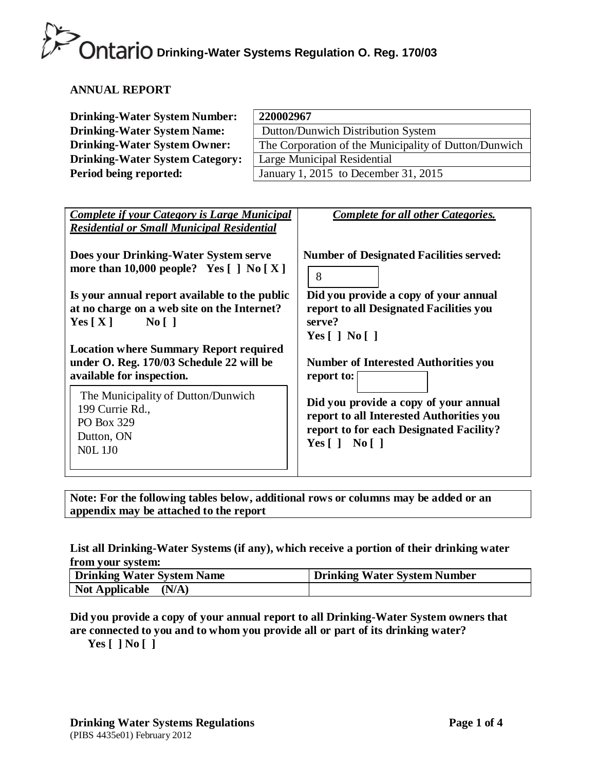### **ANNUAL REPORT**

| <b>Drinking-Water System Number:</b>   | 220002967                                             |
|----------------------------------------|-------------------------------------------------------|
| <b>Drinking-Water System Name:</b>     | Dutton/Dunwich Distribution System                    |
| <b>Drinking-Water System Owner:</b>    | The Corporation of the Municipality of Dutton/Dunwich |
| <b>Drinking-Water System Category:</b> | Large Municipal Residential                           |
| Period being reported:                 | January 1, 2015 to December 31, 2015                  |

| <b>Complete if your Category is Large Municipal</b><br><b>Residential or Small Municipal Residential</b>                                      | <b>Complete for all other Categories.</b>                                                                                                                  |  |  |
|-----------------------------------------------------------------------------------------------------------------------------------------------|------------------------------------------------------------------------------------------------------------------------------------------------------------|--|--|
| Does your Drinking-Water System serve<br>more than 10,000 people? Yes $\lceil \cdot \rceil$ No $\lceil X \rceil$                              | <b>Number of Designated Facilities served:</b><br>8                                                                                                        |  |  |
| Is your annual report available to the public<br>at no charge on a web site on the Internet?<br>$\overline{N_0}$    <br>Yes $\lceil X \rceil$ | Did you provide a copy of your annual<br>report to all Designated Facilities you<br>serve?<br>Yes $\lceil$   No $\lceil$                                   |  |  |
| <b>Location where Summary Report required</b><br>under O. Reg. 170/03 Schedule 22 will be<br>available for inspection.                        | <b>Number of Interested Authorities you</b><br>report to:                                                                                                  |  |  |
| The Municipality of Dutton/Dunwich<br>199 Currie Rd.,<br>PO Box 329<br>Dutton, ON<br><b>NOL 1JO</b>                                           | Did you provide a copy of your annual<br>report to all Interested Authorities you<br>report to for each Designated Facility?<br>Yes $\lceil$   No $\lceil$ |  |  |

**Note: For the following tables below, additional rows or columns may be added or an appendix may be attached to the report**

### **List all Drinking-Water Systems (if any), which receive a portion of their drinking water from your system:**

| Drinking Water System Name | Drinking Water System Number |  |  |  |
|----------------------------|------------------------------|--|--|--|
| Not Applicable<br>(N/A)    |                              |  |  |  |

**Did you provide a copy of your annual report to all Drinking-Water System owners that are connected to you and to whom you provide all or part of its drinking water?**

**Yes [ ] No [ ]**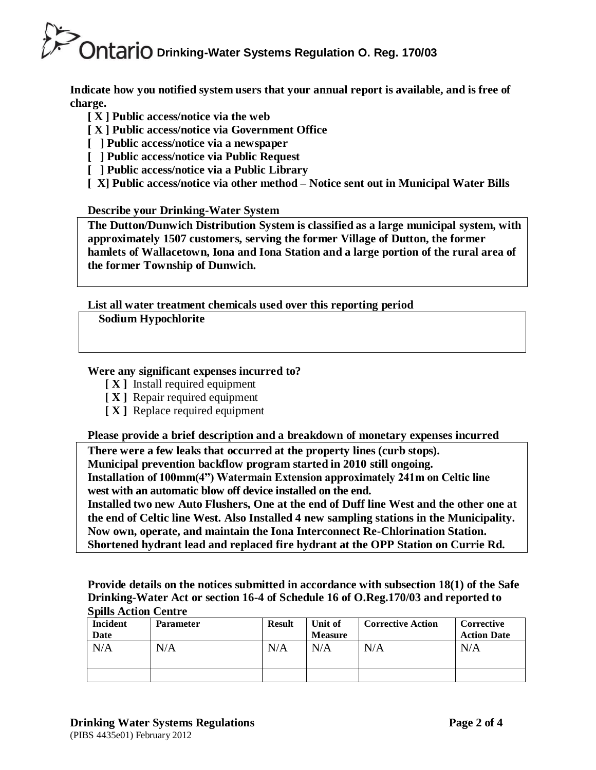**Indicate how you notified system users that your annual report is available, and is free of charge.**

- **[ X ] Public access/notice via the web**
- **[ X ] Public access/notice via Government Office**
- **[ ] Public access/notice via a newspaper**
- **[ ] Public access/notice via Public Request**
- **[ ] Public access/notice via a Public Library**
- **[ X] Public access/notice via other method – Notice sent out in Municipal Water Bills**

### **Describe your Drinking-Water System**

**The Dutton/Dunwich Distribution System is classified as a large municipal system, with approximately 1507 customers, serving the former Village of Dutton, the former hamlets of Wallacetown, Iona and Iona Station and a large portion of the rural area of the former Township of Dunwich.**

**List all water treatment chemicals used over this reporting period** 

**Sodium Hypochlorite**

### **Were any significant expenses incurred to?**

- **[ X ]** Install required equipment
- **[ X ]** Repair required equipment
- **[ X ]** Replace required equipment

**Please provide a brief description and a breakdown of monetary expenses incurred**

**There were a few leaks that occurred at the property lines (curb stops). Municipal prevention backflow program started in 2010 still ongoing. Installation of 100mm(4") Watermain Extension approximately 241m on Celtic line west with an automatic blow off device installed on the end.**

**Installed two new Auto Flushers, One at the end of Duff line West and the other one at the end of Celtic line West. Also Installed 4 new sampling stations in the Municipality. Now own, operate, and maintain the Iona Interconnect Re-Chlorination Station. Shortened hydrant lead and replaced fire hydrant at the OPP Station on Currie Rd.** 

**Provide details on the notices submitted in accordance with subsection 18(1) of the Safe Drinking-Water Act or section 16-4 of Schedule 16 of O.Reg.170/03 and reported to Spills Action Centre**

| <b>Incident</b> | <b>Parameter</b> | <b>Result</b> | Unit of        | <b>Corrective Action</b> | Corrective         |
|-----------------|------------------|---------------|----------------|--------------------------|--------------------|
| Date            |                  |               | <b>Measure</b> |                          | <b>Action Date</b> |
| N/A             | N/A              | N/A           | N/A            | N/A                      | N/A                |
|                 |                  |               |                |                          |                    |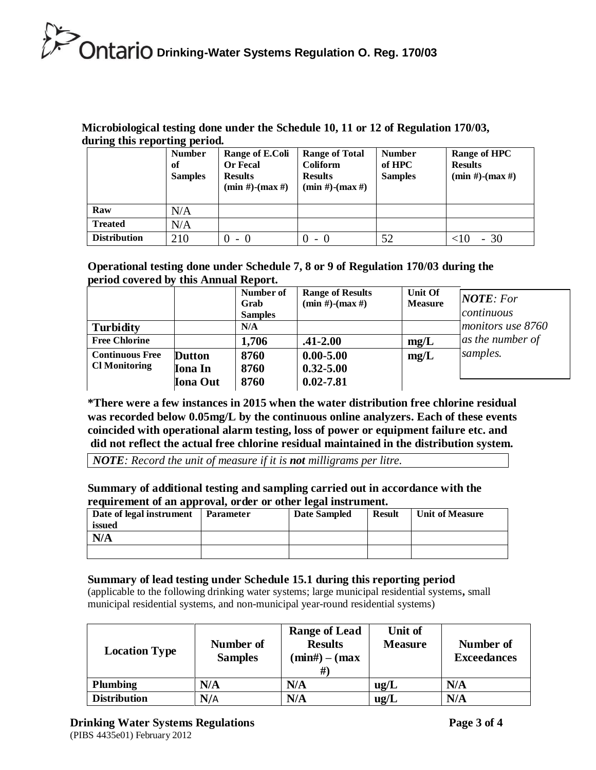### **Microbiological testing done under the Schedule 10, 11 or 12 of Regulation 170/03, during this reporting period.**

| ັ                   | ິ<br><b>Number</b><br>of<br><b>Samples</b> | Range of E.Coli<br><b>Or Fecal</b><br><b>Results</b><br>$(min #)$ - $(max #)$ | <b>Range of Total</b><br><b>Coliform</b><br><b>Results</b><br>$(min #)-(max #)$ | <b>Number</b><br>of HPC<br><b>Samples</b> | <b>Range of HPC</b><br><b>Results</b><br>$(min #)-(max #)$ |
|---------------------|--------------------------------------------|-------------------------------------------------------------------------------|---------------------------------------------------------------------------------|-------------------------------------------|------------------------------------------------------------|
| Raw                 | N/A                                        |                                                                               |                                                                                 |                                           |                                                            |
| <b>Treated</b>      | N/A                                        |                                                                               |                                                                                 |                                           |                                                            |
| <b>Distribution</b> | 210                                        | $-$ 0<br>$_{0}$                                                               | $-0$                                                                            | 52                                        | - 30                                                       |

### **Operational testing done under Schedule 7, 8 or 9 of Regulation 170/03 during the period covered by this Annual Report.**

|                        |                 | Number of<br>Grab<br><b>Samples</b> | <b>Range of Results</b><br>$(min #)-(max #)$ | Unit Of<br><b>Measure</b> | $\angle$ <i>NOTE: For</i><br> continuous |
|------------------------|-----------------|-------------------------------------|----------------------------------------------|---------------------------|------------------------------------------|
| <b>Turbidity</b>       |                 | N/A                                 |                                              |                           | monitors use 8760                        |
| <b>Free Chlorine</b>   |                 | 1,706                               | $.41 - 2.00$                                 | mg/L                      | as the number of                         |
| <b>Continuous Free</b> | <b>Dutton</b>   | 8760                                | $0.00 - 5.00$                                | mg/L                      | samples.                                 |
| <b>Cl Monitoring</b>   | <b>Iona</b> In  | 8760                                | $0.32 - 5.00$                                |                           |                                          |
|                        | <b>Iona Out</b> | 8760                                | $0.02 - 7.81$                                |                           |                                          |

**\*There were a few instances in 2015 when the water distribution free chlorine residual was recorded below 0.05mg/L by the continuous online analyzers. Each of these events coincided with operational alarm testing, loss of power or equipment failure etc. and did not reflect the actual free chlorine residual maintained in the distribution system.**

*NOTE: Record the unit of measure if it is not milligrams per litre.*

### **Summary of additional testing and sampling carried out in accordance with the requirement of an approval, order or other legal instrument.**

| Date of legal instrument | <b>Parameter</b> | <b>Date Sampled</b> | <b>Result</b> | <b>Unit of Measure</b> |
|--------------------------|------------------|---------------------|---------------|------------------------|
| issued                   |                  |                     |               |                        |
| N/A                      |                  |                     |               |                        |
|                          |                  |                     |               |                        |

### **Summary of lead testing under Schedule 15.1 during this reporting period**

(applicable to the following drinking water systems; large municipal residential systems**,** small municipal residential systems, and non-municipal year-round residential systems)

| <b>Location Type</b> | Number of<br><b>Samples</b> | <b>Range of Lead</b><br><b>Results</b><br>$(min#) - (max)$ | Unit of<br><b>Measure</b> | Number of<br><b>Exceedances</b> |
|----------------------|-----------------------------|------------------------------------------------------------|---------------------------|---------------------------------|
| <b>Plumbing</b>      | N/A                         | N/A                                                        | ug/L                      | N/A                             |
| <b>Distribution</b>  | N/A                         | N/A                                                        | ug/L                      | N/A                             |